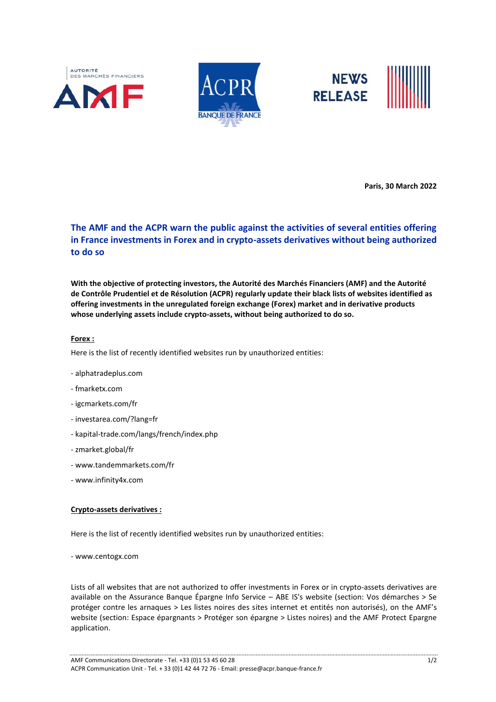





**Paris, 30 March 2022**

# **The AMF and the ACPR warn the public against the activities of several entities offering in France investments in Forex and in crypto-assets derivatives without being authorized to do so**

**With the objective of protecting investors, the Autorité des Marchés Financiers (AMF) and the Autorité de Contrôle Prudentiel et de Résolution (ACPR) regularly update their black lists of websites identified as offering investments in the unregulated foreign exchange (Forex) market and in derivative products whose underlying assets include crypto-assets, without being authorized to do so.**

#### **Forex :**

Here is the list of recently identified websites run by unauthorized entities:

- alphatradeplus.com
- fmarketx.com
- igcmarkets.com/fr
- investarea.com/?lang=fr
- kapital-trade.com/langs/french/index.php
- zmarket.global/fr
- www.tandemmarkets.com/fr
- www.infinity4x.com

#### **Crypto-assets derivatives :**

Here is the list of recently identified websites run by unauthorized entities:

- www.centogx.com

Lists of all websites that are not authorized to offer investments in Forex or in crypto-assets derivatives are available on the Assurance Banque Épargne Info Service – ABE IS's website (section: Vos démarches > Se protéger contre les arnaques > Les listes noires des sites internet et entités non autorisés), on the AMF's website (section: Espace épargnants > Protéger son épargne > Listes noires) and the AMF Protect Epargne application.